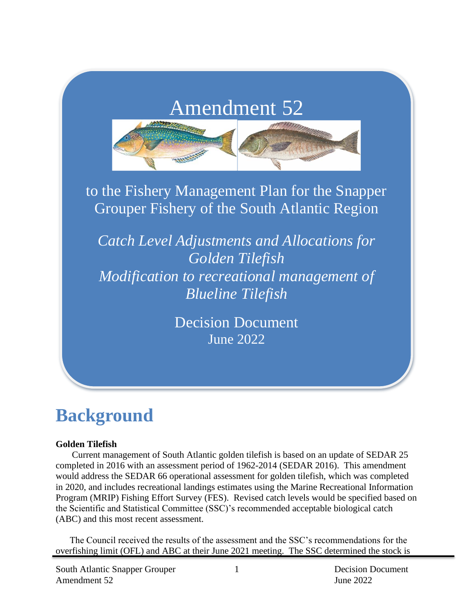# Amendment 52



to the Fishery Management Plan for the Snapper Grouper Fishery of the South Atlantic Region

*Catch Level Adjustments and Allocations for Golden Tilefish Modification to recreational management of Blueline Tilefish*

> Decision Document June 2022

# **Background**

#### **Golden Tilefish**

Current management of South Atlantic golden tilefish is based on an update of SEDAR 25 completed in 2016 with an assessment period of 1962-2014 (SEDAR 2016). This amendment would address the SEDAR 66 operational assessment for golden tilefish, which was completed in 2020, and includes recreational landings estimates using the Marine Recreational Information Program (MRIP) Fishing Effort Survey (FES). Revised catch levels would be specified based on the Scientific and Statistical Committee (SSC)'s recommended acceptable biological catch (ABC) and this most recent assessment.

The Council received the results of the assessment and the SSC's recommendations for the overfishing limit (OFL) and ABC at their June 2021 meeting. The SSC determined the stock is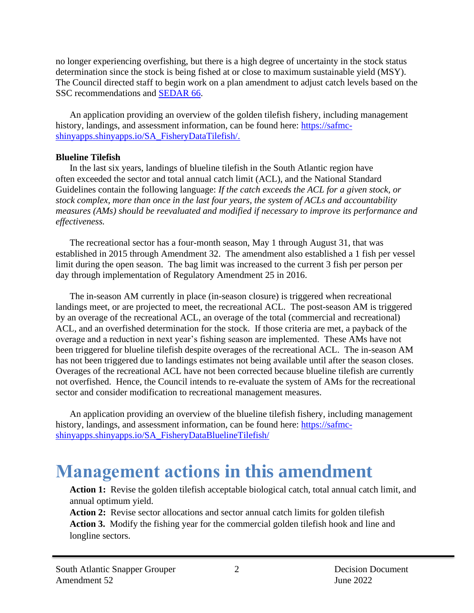no longer experiencing overfishing, but there is a high degree of uncertainty in the stock status determination since the stock is being fished at or close to maximum sustainable yield (MSY). The Council directed staff to begin work on a plan amendment to adjust catch levels based on the SSC recommendations and [SEDAR 66.](http://sedarweb.org/sedar-66-stock-assessment-report-south-atlantic-tilefish-revised-5142021)

An application providing an overview of the golden tilefish fishery, including management history, landings, and assessment information, can be found here: [https://safmc](https://safmc-shinyapps.shinyapps.io/SA_FisheryDataTilefish/)[shinyapps.shinyapps.io/SA\\_FisheryDataTilefish/.](https://safmc-shinyapps.shinyapps.io/SA_FisheryDataTilefish/)

#### **Blueline Tilefish**

In the last six years, landings of blueline tilefish in the South Atlantic region have often exceeded the sector and total annual catch limit (ACL), and the National Standard Guidelines contain the following language: *If the catch exceeds the ACL for a given stock, or stock complex, more than once in the last four years, the system of ACLs and accountability measures (AMs) should be reevaluated and modified if necessary to improve its performance and effectiveness.*

The recreational sector has a four-month season, May 1 through August 31, that was established in 2015 through Amendment 32. The amendment also established a 1 fish per vessel limit during the open season. The bag limit was increased to the current 3 fish per person per day through implementation of Regulatory Amendment 25 in 2016.

The in-season AM currently in place (in-season closure) is triggered when recreational landings meet, or are projected to meet, the recreational ACL. The post-season AM is triggered by an overage of the recreational ACL, an overage of the total (commercial and recreational) ACL, and an overfished determination for the stock. If those criteria are met, a payback of the overage and a reduction in next year's fishing season are implemented. These AMs have not been triggered for blueline tilefish despite overages of the recreational ACL. The in-season AM has not been triggered due to landings estimates not being available until after the season closes. Overages of the recreational ACL have not been corrected because blueline tilefish are currently not overfished. Hence, the Council intends to re-evaluate the system of AMs for the recreational sector and consider modification to recreational management measures.

An application providing an overview of the blueline tilefish fishery, including management history, landings, and assessment information, can be found here: [https://safmc](https://safmc-shinyapps.shinyapps.io/SA_FisheryDataBluelineTilefish/)[shinyapps.shinyapps.io/SA\\_FisheryDataBluelineTilefish/](https://safmc-shinyapps.shinyapps.io/SA_FisheryDataBluelineTilefish/)

# **Management actions in this amendment**

**Action 1:** Revise the golden tilefish acceptable biological catch, total annual catch limit, and annual optimum yield.

**Action 2:** Revise sector allocations and sector annual catch limits for golden tilefish **Action 3.** Modify the fishing year for the commercial golden tilefish hook and line and longline sectors.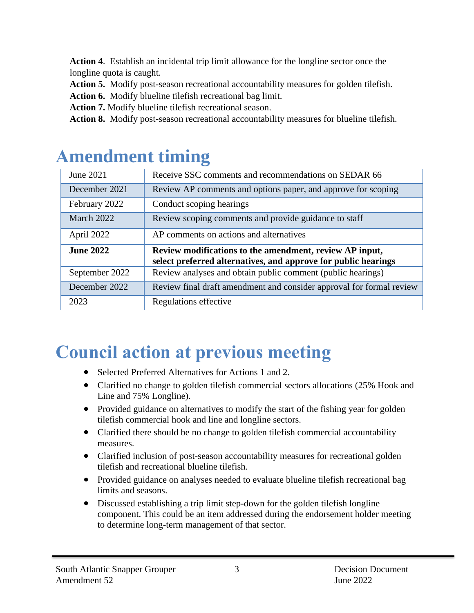**Action 4**. Establish an incidental trip limit allowance for the longline sector once the longline quota is caught.

**Action 5.** Modify post-season recreational accountability measures for golden tilefish.

**Action 6.** Modify blueline tilefish recreational bag limit.

**Action 7.** Modify blueline tilefish recreational season.

**Action 8.** Modify post-season recreational accountability measures for blueline tilefish.

| June 2021        | Receive SSC comments and recommendations on SEDAR 66                                                                      |  |  |
|------------------|---------------------------------------------------------------------------------------------------------------------------|--|--|
| December 2021    | Review AP comments and options paper, and approve for scoping                                                             |  |  |
| February 2022    | Conduct scoping hearings                                                                                                  |  |  |
| March 2022       | Review scoping comments and provide guidance to staff                                                                     |  |  |
| April 2022       | AP comments on actions and alternatives                                                                                   |  |  |
|                  |                                                                                                                           |  |  |
| <b>June 2022</b> |                                                                                                                           |  |  |
|                  | Review modifications to the amendment, review AP input,<br>select preferred alternatives, and approve for public hearings |  |  |
| September 2022   | Review analyses and obtain public comment (public hearings)                                                               |  |  |
| December 2022    | Review final draft amendment and consider approval for formal review                                                      |  |  |

# **Council action at previous meeting**

- Selected Preferred Alternatives for Actions 1 and 2.
- Clarified no change to golden tilefish commercial sectors allocations (25% Hook and Line and 75% Longline).
- Provided guidance on alternatives to modify the start of the fishing year for golden tilefish commercial hook and line and longline sectors.
- Clarified there should be no change to golden tilefish commercial accountability measures.
- Clarified inclusion of post-season accountability measures for recreational golden tilefish and recreational blueline tilefish.
- Provided guidance on analyses needed to evaluate blueline tilefish recreational bag limits and seasons.
- Discussed establishing a trip limit step-down for the golden tilefish longline component. This could be an item addressed during the endorsement holder meeting to determine long-term management of that sector.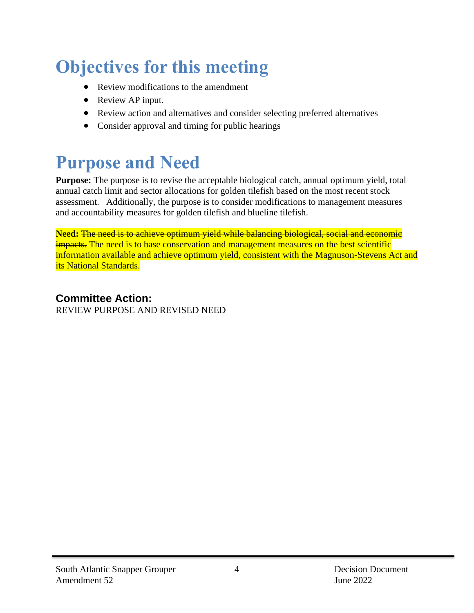# **Objectives for this meeting**

- Review modifications to the amendment
- Review AP input.
- Review action and alternatives and consider selecting preferred alternatives
- Consider approval and timing for public hearings

# **Purpose and Need**

**Purpose:** The purpose is to revise the acceptable biological catch, annual optimum yield, total annual catch limit and sector allocations for golden tilefish based on the most recent stock assessment. Additionally, the purpose is to consider modifications to management measures and accountability measures for golden tilefish and blueline tilefish.

**Need:** The need is to achieve optimum yield while balancing biological, social and economic impacts. The need is to base conservation and management measures on the best scientific information available and achieve optimum yield, consistent with the Magnuson-Stevens Act and its National Standards.

**Committee Action:** REVIEW PURPOSE AND REVISED NEED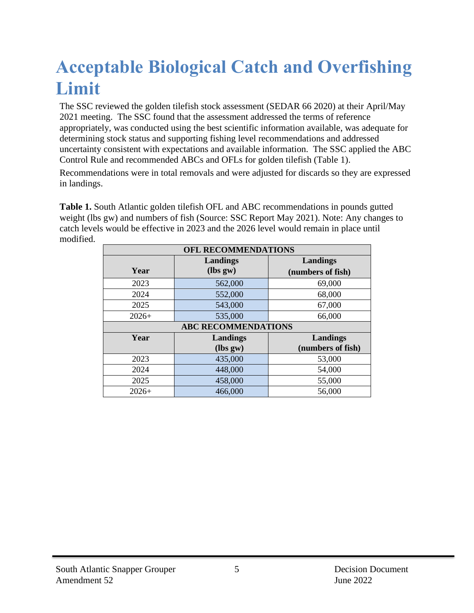# **Acceptable Biological Catch and Overfishing Limit**

The SSC reviewed the golden tilefish stock assessment (SEDAR 66 2020) at their April/May 2021 meeting. The SSC found that the assessment addressed the terms of reference appropriately, was conducted using the best scientific information available, was adequate for determining stock status and supporting fishing level recommendations and addressed uncertainty consistent with expectations and available information. The SSC applied the ABC Control Rule and recommended ABCs and OFLs for golden tilefish (Table 1).

Recommendations were in total removals and were adjusted for discards so they are expressed in landings.

**Table 1.** South Atlantic golden tilefish OFL and ABC recommendations in pounds gutted weight (lbs gw) and numbers of fish (Source: SSC Report May 2021). Note: Any changes to catch levels would be effective in 2023 and the 2026 level would remain in place until modified.

| OFL RECOMMENDATIONS         |                            |                   |  |  |  |  |
|-----------------------------|----------------------------|-------------------|--|--|--|--|
| Landings<br><b>Landings</b> |                            |                   |  |  |  |  |
| Year                        | $(lbs gw)$                 | (numbers of fish) |  |  |  |  |
| 2023                        | 562,000                    | 69,000            |  |  |  |  |
| 2024                        | 552,000                    | 68,000            |  |  |  |  |
| 2025                        | 543,000                    | 67,000            |  |  |  |  |
| $2026+$                     | 535,000                    | 66,000            |  |  |  |  |
|                             | <b>ABC RECOMMENDATIONS</b> |                   |  |  |  |  |
| Year                        | Landings                   | Landings          |  |  |  |  |
|                             | $(lbs gw)$                 | (numbers of fish) |  |  |  |  |
| 2023                        | 435,000                    | 53,000            |  |  |  |  |
| 2024                        | 448,000                    | 54,000            |  |  |  |  |
| 2025                        | 458,000                    | 55,000            |  |  |  |  |
| $2026+$                     | 466,000                    | 56,000            |  |  |  |  |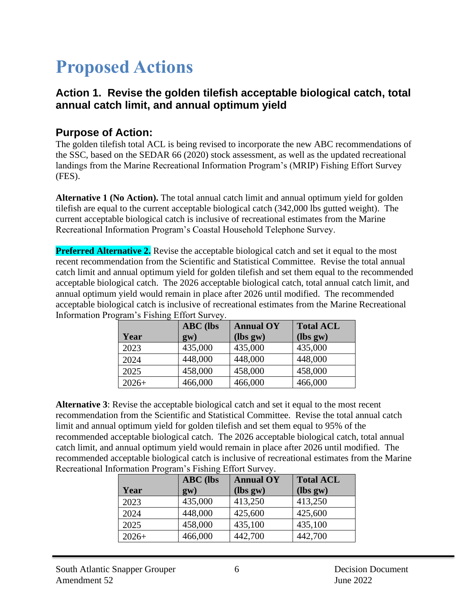# **Proposed Actions**

#### **Action 1. Revise the golden tilefish acceptable biological catch, total annual catch limit, and annual optimum yield**

#### **Purpose of Action:**

The golden tilefish total ACL is being revised to incorporate the new ABC recommendations of the SSC, based on the SEDAR 66 (2020) stock assessment, as well as the updated recreational landings from the Marine Recreational Information Program's (MRIP) Fishing Effort Survey (FES).

**Alternative 1 (No Action).** The total annual catch limit and annual optimum yield for golden tilefish are equal to the current acceptable biological catch (342,000 lbs gutted weight). The current acceptable biological catch is inclusive of recreational estimates from the Marine Recreational Information Program's Coastal Household Telephone Survey.

**Preferred Alternative 2.** Revise the acceptable biological catch and set it equal to the most recent recommendation from the Scientific and Statistical Committee. Revise the total annual catch limit and annual optimum yield for golden tilefish and set them equal to the recommended acceptable biological catch. The 2026 acceptable biological catch, total annual catch limit, and annual optimum yield would remain in place after 2026 until modified. The recommended acceptable biological catch is inclusive of recreational estimates from the Marine Recreational Information Program's Fishing Effort Survey.

|         | <b>ABC</b> (lbs | <b>Annual OY</b> | <b>Total ACL</b> |
|---------|-----------------|------------------|------------------|
| Year    | $g(\mathbf{w})$ | $(lbs gw)$       | $lbs gw$         |
| 2023    | 435,000         | 435,000          | 435,000          |
| 2024    | 448,000         | 448,000          | 448,000          |
| 2025    | 458,000         | 458,000          | 458,000          |
| $2026+$ | 466,000         | 466,000          | 466,000          |

**Alternative 3**: Revise the acceptable biological catch and set it equal to the most recent recommendation from the Scientific and Statistical Committee. Revise the total annual catch limit and annual optimum yield for golden tilefish and set them equal to 95% of the recommended acceptable biological catch. The 2026 acceptable biological catch, total annual catch limit, and annual optimum yield would remain in place after 2026 until modified. The recommended acceptable biological catch is inclusive of recreational estimates from the Marine Recreational Information Program's Fishing Effort Survey.

| Year    | <b>ABC</b> (lbs<br>$g(\mathbf{w})$ | <b>Annual OY</b><br>$(lbs gw)$ | <b>Total ACL</b><br>$(lbs gw)$ |
|---------|------------------------------------|--------------------------------|--------------------------------|
| 2023    | 435,000                            | 413,250                        | 413,250                        |
| 2024    | 448,000                            | 425,600                        | 425,600                        |
| 2025    | 458,000                            | 435,100                        | 435,100                        |
| $2026+$ | 466,000                            | 442,700                        | 442,700                        |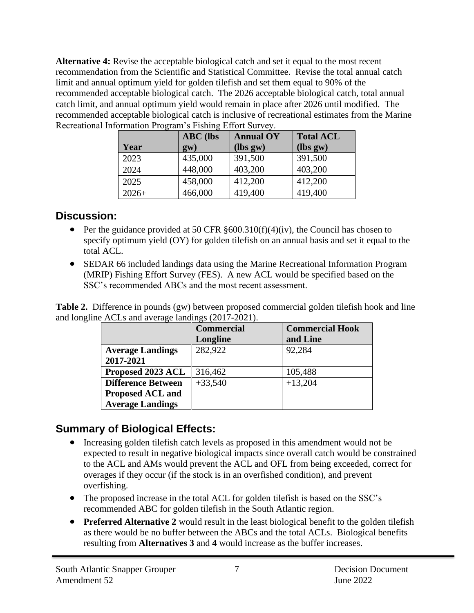**Alternative 4:** Revise the acceptable biological catch and set it equal to the most recent recommendation from the Scientific and Statistical Committee. Revise the total annual catch limit and annual optimum yield for golden tilefish and set them equal to 90% of the recommended acceptable biological catch. The 2026 acceptable biological catch, total annual catch limit, and annual optimum yield would remain in place after 2026 until modified. The recommended acceptable biological catch is inclusive of recreational estimates from the Marine Recreational Information Program's Fishing Effort Survey.

| Year    | <b>ABC</b> (lbs<br>$g_{\rm W}$ ) | <b>Annual OY</b><br>(lbs gw) | <b>Total ACL</b><br>(lbs gw) |
|---------|----------------------------------|------------------------------|------------------------------|
| 2023    | 435,000                          | 391,500                      | 391,500                      |
| 2024    | 448,000                          | 403,200                      | 403,200                      |
| 2025    | 458,000                          | 412,200                      | 412,200                      |
| $2026+$ | 466,000                          | 419,400                      | 419,400                      |

#### **Discussion:**

- Per the guidance provided at 50 CFR  $\S 600.310(f)(4)(iv)$ , the Council has chosen to specify optimum yield (OY) for golden tilefish on an annual basis and set it equal to the total ACL.
- SEDAR 66 included landings data using the Marine Recreational Information Program (MRIP) Fishing Effort Survey (FES). A new ACL would be specified based on the SSC's recommended ABCs and the most recent assessment.

**Table 2.** Difference in pounds (gw) between proposed commercial golden tilefish hook and line and longline ACLs and average landings (2017-2021).

|                           | <b>Commercial</b><br><b>Commercial Hook</b> |           |  |  |
|---------------------------|---------------------------------------------|-----------|--|--|
|                           | Longline                                    | and Line  |  |  |
| <b>Average Landings</b>   | 282,922                                     | 92,284    |  |  |
| 2017-2021                 |                                             |           |  |  |
| Proposed 2023 ACL         | 316,462                                     | 105,488   |  |  |
| <b>Difference Between</b> | $+33,540$                                   | $+13,204$ |  |  |
| Proposed ACL and          |                                             |           |  |  |
| <b>Average Landings</b>   |                                             |           |  |  |

## **Summary of Biological Effects:**

- Increasing golden tilefish catch levels as proposed in this amendment would not be expected to result in negative biological impacts since overall catch would be constrained to the ACL and AMs would prevent the ACL and OFL from being exceeded, correct for overages if they occur (if the stock is in an overfished condition), and prevent overfishing.
- The proposed increase in the total ACL for golden tilefish is based on the SSC's recommended ABC for golden tilefish in the South Atlantic region.
- **Preferred Alternative 2** would result in the least biological benefit to the golden tilefish as there would be no buffer between the ABCs and the total ACLs. Biological benefits resulting from **Alternatives 3** and **4** would increase as the buffer increases.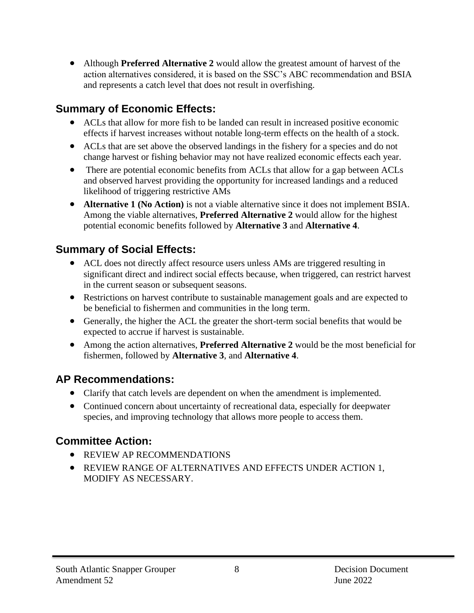• Although **Preferred Alternative 2** would allow the greatest amount of harvest of the action alternatives considered, it is based on the SSC's ABC recommendation and BSIA and represents a catch level that does not result in overfishing.

## **Summary of Economic Effects:**

- ACLs that allow for more fish to be landed can result in increased positive economic effects if harvest increases without notable long-term effects on the health of a stock.
- ACLs that are set above the observed landings in the fishery for a species and do not change harvest or fishing behavior may not have realized economic effects each year.
- There are potential economic benefits from ACLs that allow for a gap between ACLs and observed harvest providing the opportunity for increased landings and a reduced likelihood of triggering restrictive AMs
- **Alternative 1 (No Action)** is not a viable alternative since it does not implement BSIA. Among the viable alternatives, **Preferred Alternative 2** would allow for the highest potential economic benefits followed by **Alternative 3** and **Alternative 4**.

## **Summary of Social Effects:**

- ACL does not directly affect resource users unless AMs are triggered resulting in significant direct and indirect social effects because, when triggered, can restrict harvest in the current season or subsequent seasons.
- Restrictions on harvest contribute to sustainable management goals and are expected to be beneficial to fishermen and communities in the long term.
- Generally, the higher the ACL the greater the short-term social benefits that would be expected to accrue if harvest is sustainable.
- Among the action alternatives, **Preferred Alternative 2** would be the most beneficial for fishermen, followed by **Alternative 3**, and **Alternative 4**.

### **AP Recommendations:**

- Clarify that catch levels are dependent on when the amendment is implemented.
- Continued concern about uncertainty of recreational data, especially for deepwater species, and improving technology that allows more people to access them.

## **Committee Action:**

- REVIEW AP RECOMMENDATIONS
- REVIEW RANGE OF ALTERNATIVES AND EFFECTS UNDER ACTION 1, MODIFY AS NECESSARY.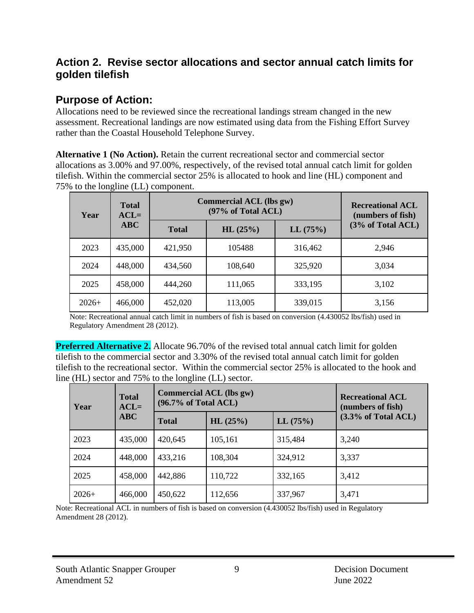#### **Action 2. Revise sector allocations and sector annual catch limits for golden tilefish**

#### **Purpose of Action:**

Allocations need to be reviewed since the recreational landings stream changed in the new assessment. Recreational landings are now estimated using data from the Fishing Effort Survey rather than the Coastal Household Telephone Survey.

**Alternative 1 (No Action).** Retain the current recreational sector and commercial sector allocations as 3.00% and 97.00%, respectively, of the revised total annual catch limit for golden tilefish. Within the commercial sector 25% is allocated to hook and line (HL) component and 75% to the longline (LL) component.

| Year    | <b>Total</b><br>$ACL =$ | Commercial ACL (lbs gw) | <b>Recreational ACL</b><br>(numbers of fish) |         |                   |
|---------|-------------------------|-------------------------|----------------------------------------------|---------|-------------------|
|         | <b>ABC</b>              | <b>Total</b>            | HL(25%)                                      | LL(75%) | (3% of Total ACL) |
| 2023    | 435,000                 | 421,950                 | 105488                                       | 316,462 | 2,946             |
| 2024    | 448,000                 | 434,560                 | 108,640                                      | 325,920 | 3,034             |
| 2025    | 458,000                 | 444,260                 | 111,065                                      | 333,195 | 3,102             |
| $2026+$ | 466,000                 | 452,020                 | 113,005                                      | 339,015 | 3,156             |

Note: Recreational annual catch limit in numbers of fish is based on conversion (4.430052 lbs/fish) used in Regulatory Amendment 28 (2012).

**Preferred Alternative 2.** Allocate 96.70% of the revised total annual catch limit for golden tilefish to the commercial sector and 3.30% of the revised total annual catch limit for golden tilefish to the recreational sector. Within the commercial sector 25% is allocated to the hook and line (HL) sector and 75% to the longline (LL) sector.

| Year    | <b>Total</b><br>$ACL =$ | <b>Commercial ACL (lbs gw)</b><br>$(96.7\% \text{ of Total ACL})$ |         |         | <b>Recreational ACL</b><br>(numbers of fish) |  |
|---------|-------------------------|-------------------------------------------------------------------|---------|---------|----------------------------------------------|--|
| ABC     |                         | <b>Total</b>                                                      | HL(25%) | LL(75%) | $(3.3\% \text{ of Total ACL})$               |  |
| 2023    | 435,000                 | 420,645                                                           | 105,161 | 315,484 | 3,240                                        |  |
| 2024    | 448,000                 | 433,216                                                           | 108,304 | 324,912 | 3,337                                        |  |
| 2025    | 458,000                 | 442,886                                                           | 110,722 | 332,165 | 3,412                                        |  |
| $2026+$ | 466,000                 | 450,622                                                           | 112,656 | 337,967 | 3,471                                        |  |

Note: Recreational ACL in numbers of fish is based on conversion (4.430052 lbs/fish) used in Regulatory Amendment 28 (2012).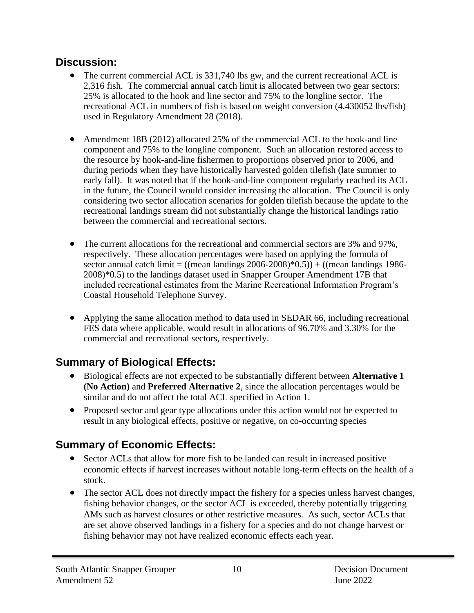#### **Discussion:**

- The current commercial ACL is 331,740 lbs gw, and the current recreational ACL is 2,316 fish. The commercial annual catch limit is allocated between two gear sectors: 25% is allocated to the hook and line sector and 75% to the longline sector. The recreational ACL in numbers of fish is based on weight conversion (4.430052 lbs/fish) used in Regulatory Amendment 28 (2018).
- Amendment 18B (2012) allocated 25% of the commercial ACL to the hook-and line component and 75% to the longline component. Such an allocation restored access to the resource by hook-and-line fishermen to proportions observed prior to 2006, and during periods when they have historically harvested golden tilefish (late summer to early fall). It was noted that if the hook-and-line component regularly reached its ACL in the future, the Council would consider increasing the allocation. The Council is only considering two sector allocation scenarios for golden tilefish because the update to the recreational landings stream did not substantially change the historical landings ratio between the commercial and recreational sectors.
- The current allocations for the recreational and commercial sectors are 3% and 97%, respectively. These allocation percentages were based on applying the formula of sector annual catch limit =  $((mean \land andings \space 2006-2008)*0.5)) + ((mean \land andings \space 1986-$ 2008)\*0.5) to the landings dataset used in Snapper Grouper Amendment 17B that included recreational estimates from the Marine Recreational Information Program's Coastal Household Telephone Survey.
- Applying the same allocation method to data used in SEDAR 66, including recreational FES data where applicable, would result in allocations of 96.70% and 3.30% for the commercial and recreational sectors, respectively.

## **Summary of Biological Effects:**

- Biological effects are not expected to be substantially different between **Alternative 1 (No Action)** and **Preferred Alternative 2**, since the allocation percentages would be similar and do not affect the total ACL specified in Action 1.
- Proposed sector and gear type allocations under this action would not be expected to result in any biological effects, positive or negative, on co-occurring species

## **Summary of Economic Effects:**

- Sector ACLs that allow for more fish to be landed can result in increased positive economic effects if harvest increases without notable long-term effects on the health of a stock.
- The sector ACL does not directly impact the fishery for a species unless harvest changes, fishing behavior changes, or the sector ACL is exceeded, thereby potentially triggering AMs such as harvest closures or other restrictive measures. As such, sector ACLs that are set above observed landings in a fishery for a species and do not change harvest or fishing behavior may not have realized economic effects each year.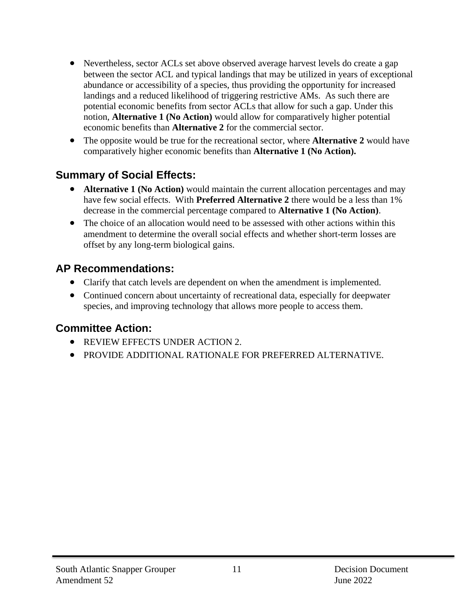- Nevertheless, sector ACLs set above observed average harvest levels do create a gap between the sector ACL and typical landings that may be utilized in years of exceptional abundance or accessibility of a species, thus providing the opportunity for increased landings and a reduced likelihood of triggering restrictive AMs. As such there are potential economic benefits from sector ACLs that allow for such a gap. Under this notion, **Alternative 1 (No Action)** would allow for comparatively higher potential economic benefits than **Alternative 2** for the commercial sector.
- The opposite would be true for the recreational sector, where **Alternative 2** would have comparatively higher economic benefits than **Alternative 1 (No Action).**

### **Summary of Social Effects:**

- **Alternative 1 (No Action)** would maintain the current allocation percentages and may have few social effects. With **Preferred Alternative 2** there would be a less than 1% decrease in the commercial percentage compared to **Alternative 1 (No Action)**.
- The choice of an allocation would need to be assessed with other actions within this amendment to determine the overall social effects and whether short-term losses are offset by any long-term biological gains.

## **AP Recommendations:**

- Clarify that catch levels are dependent on when the amendment is implemented.
- Continued concern about uncertainty of recreational data, especially for deepwater species, and improving technology that allows more people to access them.

## **Committee Action:**

- REVIEW EFFECTS UNDER ACTION 2.
- PROVIDE ADDITIONAL RATIONALE FOR PREFERRED ALTERNATIVE.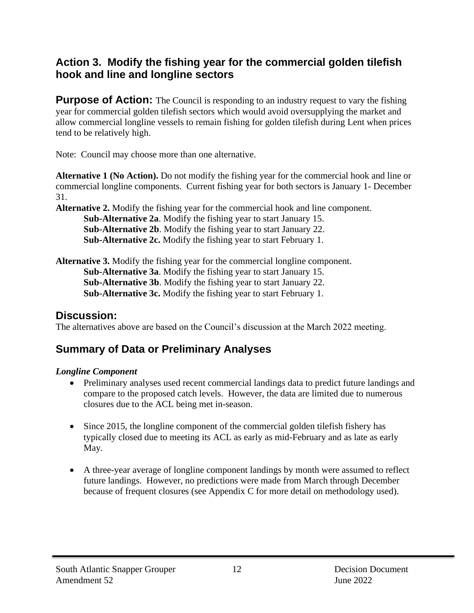#### **Action 3. Modify the fishing year for the commercial golden tilefish hook and line and longline sectors**

**Purpose of Action:** The Council is responding to an industry request to vary the fishing year for commercial golden tilefish sectors which would avoid oversupplying the market and allow commercial longline vessels to remain fishing for golden tilefish during Lent when prices tend to be relatively high.

Note: Council may choose more than one alternative.

**Alternative 1 (No Action).** Do not modify the fishing year for the commercial hook and line or commercial longline components. Current fishing year for both sectors is January 1- December 31.

**Alternative 2.** Modify the fishing year for the commercial hook and line component.

**Sub-Alternative 2a**. Modify the fishing year to start January 15. **Sub-Alternative 2b**. Modify the fishing year to start January 22. **Sub-Alternative 2c.** Modify the fishing year to start February 1.

**Alternative 3.** Modify the fishing year for the commercial longline component. **Sub-Alternative 3a**. Modify the fishing year to start January 15. **Sub-Alternative 3b**. Modify the fishing year to start January 22. **Sub-Alternative 3c.** Modify the fishing year to start February 1.

#### **Discussion:**

The alternatives above are based on the Council's discussion at the March 2022 meeting.

### **Summary of Data or Preliminary Analyses**

#### *Longline Component*

- Preliminary analyses used recent commercial landings data to predict future landings and compare to the proposed catch levels. However, the data are limited due to numerous closures due to the ACL being met in-season.
- Since 2015, the longline component of the commercial golden tilefish fishery has typically closed due to meeting its ACL as early as mid-February and as late as early May.
- A three-year average of longline component landings by month were assumed to reflect future landings. However, no predictions were made from March through December because of frequent closures (see Appendix C for more detail on methodology used).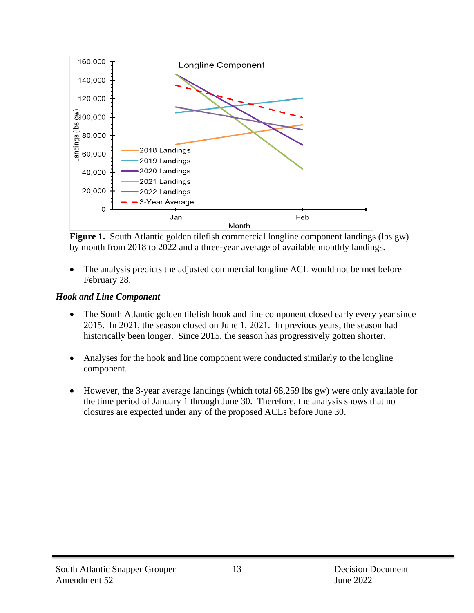

**Figure 1.** South Atlantic golden tilefish commercial longline component landings (lbs gw) by month from 2018 to 2022 and a three-year average of available monthly landings.

• The analysis predicts the adjusted commercial longline ACL would not be met before February 28.

#### *Hook and Line Component*

- The South Atlantic golden tilefish hook and line component closed early every year since 2015. In 2021, the season closed on June 1, 2021. In previous years, the season had historically been longer. Since 2015, the season has progressively gotten shorter.
- Analyses for the hook and line component were conducted similarly to the longline component.
- However, the 3-year average landings (which total 68,259 lbs gw) were only available for the time period of January 1 through June 30. Therefore, the analysis shows that no closures are expected under any of the proposed ACLs before June 30.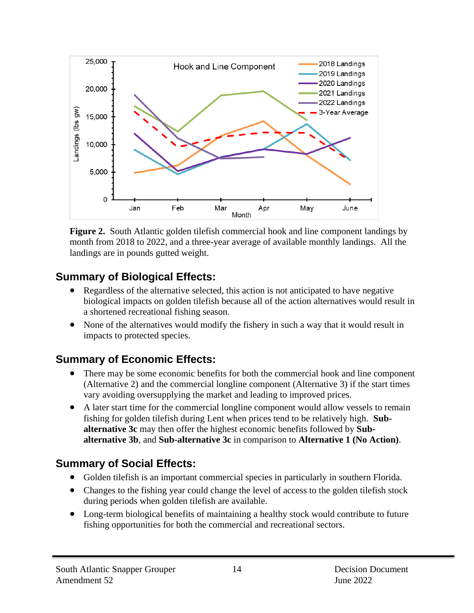

**Figure 2.** South Atlantic golden tilefish commercial hook and line component landings by month from 2018 to 2022, and a three-year average of available monthly landings. All the landings are in pounds gutted weight.

## **Summary of Biological Effects:**

- Regardless of the alternative selected, this action is not anticipated to have negative biological impacts on golden tilefish because all of the action alternatives would result in a shortened recreational fishing season.
- None of the alternatives would modify the fishery in such a way that it would result in impacts to protected species.

### **Summary of Economic Effects:**

- There may be some economic benefits for both the commercial hook and line component (Alternative 2) and the commercial longline component (Alternative 3) if the start times vary avoiding oversupplying the market and leading to improved prices.
- A later start time for the commercial longline component would allow vessels to remain fishing for golden tilefish during Lent when prices tend to be relatively high. **Subalternative 3c** may then offer the highest economic benefits followed by **Subalternative 3b**, and **Sub-alternative 3c** in comparison to **Alternative 1 (No Action)**.

## **Summary of Social Effects:**

- Golden tilefish is an important commercial species in particularly in southern Florida.
- Changes to the fishing year could change the level of access to the golden tilefish stock during periods when golden tilefish are available.
- Long-term biological benefits of maintaining a healthy stock would contribute to future fishing opportunities for both the commercial and recreational sectors.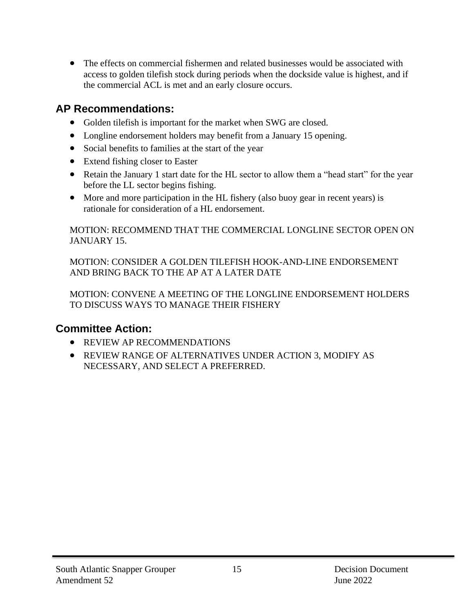• The effects on commercial fishermen and related businesses would be associated with access to golden tilefish stock during periods when the dockside value is highest, and if the commercial ACL is met and an early closure occurs.

#### **AP Recommendations:**

- Golden tilefish is important for the market when SWG are closed.
- Longline endorsement holders may benefit from a January 15 opening.
- Social benefits to families at the start of the year
- Extend fishing closer to Easter
- Retain the January 1 start date for the HL sector to allow them a "head start" for the year before the LL sector begins fishing.
- More and more participation in the HL fishery (also buoy gear in recent years) is rationale for consideration of a HL endorsement.

MOTION: RECOMMEND THAT THE COMMERCIAL LONGLINE SECTOR OPEN ON JANUARY 15.

MOTION: CONSIDER A GOLDEN TILEFISH HOOK-AND-LINE ENDORSEMENT AND BRING BACK TO THE AP AT A LATER DATE

MOTION: CONVENE A MEETING OF THE LONGLINE ENDORSEMENT HOLDERS TO DISCUSS WAYS TO MANAGE THEIR FISHERY

### **Committee Action:**

- REVIEW AP RECOMMENDATIONS
- REVIEW RANGE OF ALTERNATIVES UNDER ACTION 3, MODIFY AS NECESSARY, AND SELECT A PREFERRED.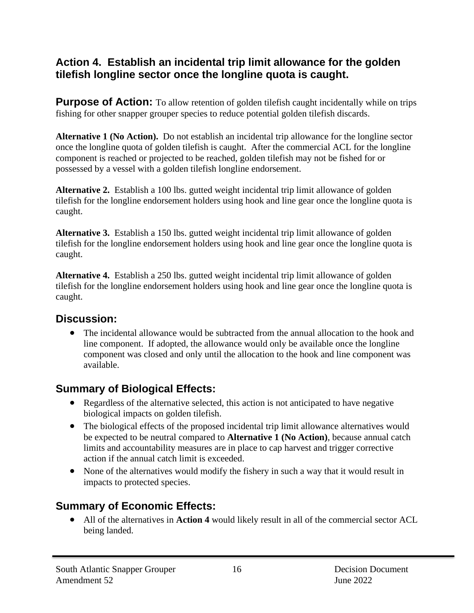#### **Action 4. Establish an incidental trip limit allowance for the golden tilefish longline sector once the longline quota is caught.**

**Purpose of Action:** To allow retention of golden tilefish caught incidentally while on trips fishing for other snapper grouper species to reduce potential golden tilefish discards.

**Alternative 1 (No Action).** Do not establish an incidental trip allowance for the longline sector once the longline quota of golden tilefish is caught. After the commercial ACL for the longline component is reached or projected to be reached, golden tilefish may not be fished for or possessed by a vessel with a golden tilefish longline endorsement.

**Alternative 2.** Establish a 100 lbs. gutted weight incidental trip limit allowance of golden tilefish for the longline endorsement holders using hook and line gear once the longline quota is caught.

**Alternative 3.** Establish a 150 lbs. gutted weight incidental trip limit allowance of golden tilefish for the longline endorsement holders using hook and line gear once the longline quota is caught.

**Alternative 4.** Establish a 250 lbs. gutted weight incidental trip limit allowance of golden tilefish for the longline endorsement holders using hook and line gear once the longline quota is caught.

#### **Discussion:**

• The incidental allowance would be subtracted from the annual allocation to the hook and line component. If adopted, the allowance would only be available once the longline component was closed and only until the allocation to the hook and line component was available.

## **Summary of Biological Effects:**

- Regardless of the alternative selected, this action is not anticipated to have negative biological impacts on golden tilefish.
- The biological effects of the proposed incidental trip limit allowance alternatives would be expected to be neutral compared to **Alternative 1 (No Action)**, because annual catch limits and accountability measures are in place to cap harvest and trigger corrective action if the annual catch limit is exceeded.
- None of the alternatives would modify the fishery in such a way that it would result in impacts to protected species.

## **Summary of Economic Effects:**

• All of the alternatives in **Action 4** would likely result in all of the commercial sector ACL being landed.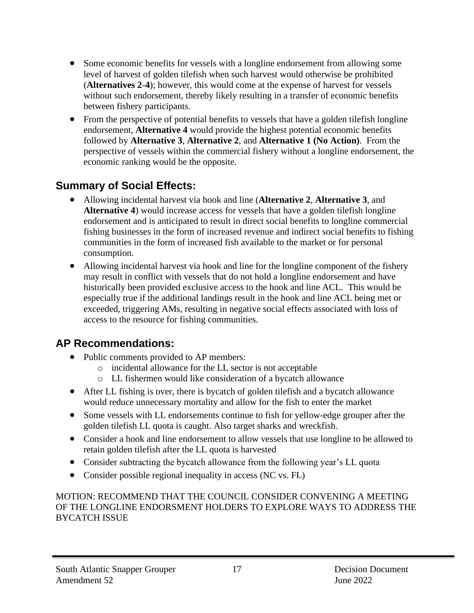- Some economic benefits for vessels with a longline endorsement from allowing some level of harvest of golden tilefish when such harvest would otherwise be prohibited (**Alternatives 2**-**4**); however, this would come at the expense of harvest for vessels without such endorsement, thereby likely resulting in a transfer of economic benefits between fishery participants.
- From the perspective of potential benefits to vessels that have a golden tilefish longline endorsement, **Alternative 4** would provide the highest potential economic benefits followed by **Alternative 3**, **Alternative 2**, and **Alternative 1 (No Action)**. From the perspective of vessels within the commercial fishery without a longline endorsement, the economic ranking would be the opposite.

## **Summary of Social Effects:**

- Allowing incidental harvest via hook and line (**Alternative 2**, **Alternative 3**, and **Alternative 4**) would increase access for vessels that have a golden tilefish longline endorsement and is anticipated to result in direct social benefits to longline commercial fishing businesses in the form of increased revenue and indirect social benefits to fishing communities in the form of increased fish available to the market or for personal consumption.
- Allowing incidental harvest via hook and line for the longline component of the fishery may result in conflict with vessels that do not hold a longline endorsement and have historically been provided exclusive access to the hook and line ACL. This would be especially true if the additional landings result in the hook and line ACL being met or exceeded, triggering AMs, resulting in negative social effects associated with loss of access to the resource for fishing communities.

### **AP Recommendations:**

- Public comments provided to AP members:
	- o incidental allowance for the LL sector is not acceptable
	- o LL fishermen would like consideration of a bycatch allowance
- After LL fishing is over, there is bycatch of golden tilefish and a bycatch allowance would reduce unnecessary mortality and allow for the fish to enter the market
- Some vessels with LL endorsements continue to fish for yellow-edge grouper after the golden tilefish LL quota is caught. Also target sharks and wreckfish.
- Consider a hook and line endorsement to allow vessels that use longline to be allowed to retain golden tilefish after the LL quota is harvested
- Consider subtracting the bycatch allowance from the following year's LL quota
- Consider possible regional inequality in access (NC vs. FL)

#### MOTION: RECOMMEND THAT THE COUNCIL CONSIDER CONVENING A MEETING OF THE LONGLINE ENDORSMENT HOLDERS TO EXPLORE WAYS TO ADDRESS THE BYCATCH ISSUE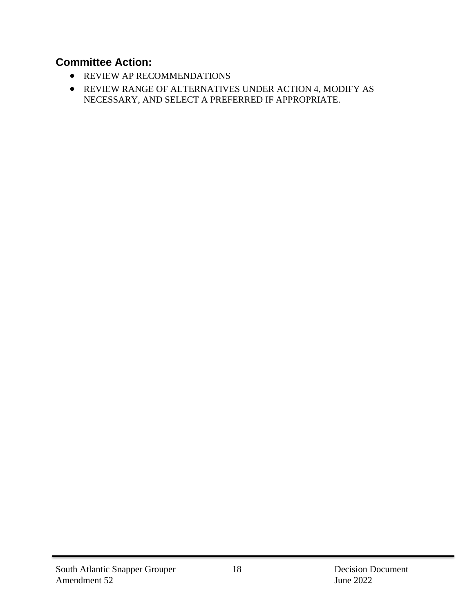#### **Committee Action:**

- REVIEW AP RECOMMENDATIONS
- REVIEW RANGE OF ALTERNATIVES UNDER ACTION 4, MODIFY AS NECESSARY, AND SELECT A PREFERRED IF APPROPRIATE.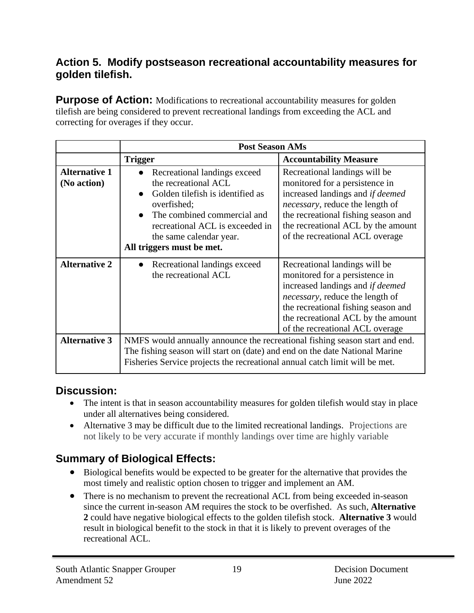#### **Action 5. Modify postseason recreational accountability measures for golden tilefish.**

**Purpose of Action:** Modifications to recreational accountability measures for golden tilefish are being considered to prevent recreational landings from exceeding the ACL and correcting for overages if they occur.

|                                     | <b>Post Season AMs</b>                                                                                                                                                                                                                    |                                                                                                                                                                                                                                                                |  |  |
|-------------------------------------|-------------------------------------------------------------------------------------------------------------------------------------------------------------------------------------------------------------------------------------------|----------------------------------------------------------------------------------------------------------------------------------------------------------------------------------------------------------------------------------------------------------------|--|--|
|                                     | <b>Trigger</b>                                                                                                                                                                                                                            | <b>Accountability Measure</b>                                                                                                                                                                                                                                  |  |  |
| <b>Alternative 1</b><br>(No action) | Recreational landings exceed<br>the recreational ACL<br>Golden tilefish is identified as<br>overfished;<br>The combined commercial and<br>recreational ACL is exceeded in<br>the same calendar year.<br>All triggers must be met.         | Recreational landings will be<br>monitored for a persistence in<br>increased landings and if deemed<br><i>necessary</i> , reduce the length of<br>the recreational fishing season and<br>the recreational ACL by the amount<br>of the recreational ACL overage |  |  |
| <b>Alternative 2</b>                | Recreational landings exceed<br>the recreational ACL                                                                                                                                                                                      | Recreational landings will be<br>monitored for a persistence in<br>increased landings and if deemed<br><i>necessary</i> , reduce the length of<br>the recreational fishing season and<br>the recreational ACL by the amount<br>of the recreational ACL overage |  |  |
| <b>Alternative 3</b>                | NMFS would annually announce the recreational fishing season start and end.<br>The fishing season will start on (date) and end on the date National Marine<br>Fisheries Service projects the recreational annual catch limit will be met. |                                                                                                                                                                                                                                                                |  |  |

#### **Discussion:**

- The intent is that in season accountability measures for golden tilefish would stay in place under all alternatives being considered.
- Alternative 3 may be difficult due to the limited recreational landings. Projections are not likely to be very accurate if monthly landings over time are highly variable

### **Summary of Biological Effects:**

- Biological benefits would be expected to be greater for the alternative that provides the most timely and realistic option chosen to trigger and implement an AM.
- There is no mechanism to prevent the recreational ACL from being exceeded in-season since the current in-season AM requires the stock to be overfished. As such, **Alternative 2** could have negative biological effects to the golden tilefish stock. **Alternative 3** would result in biological benefit to the stock in that it is likely to prevent overages of the recreational ACL.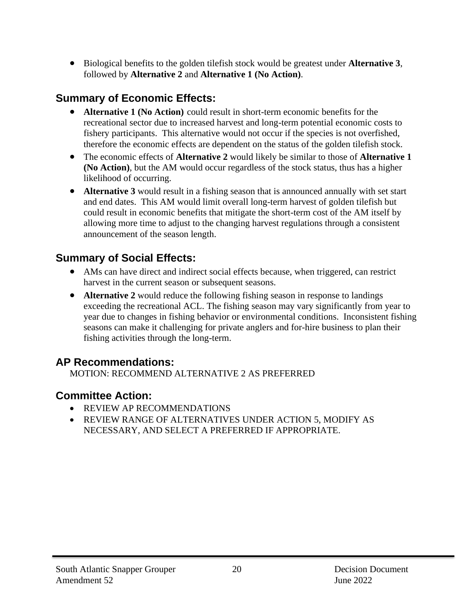• Biological benefits to the golden tilefish stock would be greatest under **Alternative 3**, followed by **Alternative 2** and **Alternative 1 (No Action)**.

### **Summary of Economic Effects:**

- **Alternative 1 (No Action)** could result in short-term economic benefits for the recreational sector due to increased harvest and long-term potential economic costs to fishery participants. This alternative would not occur if the species is not overfished, therefore the economic effects are dependent on the status of the golden tilefish stock.
- The economic effects of **Alternative 2** would likely be similar to those of **Alternative 1 (No Action)**, but the AM would occur regardless of the stock status, thus has a higher likelihood of occurring.
- **Alternative 3** would result in a fishing season that is announced annually with set start and end dates. This AM would limit overall long-term harvest of golden tilefish but could result in economic benefits that mitigate the short-term cost of the AM itself by allowing more time to adjust to the changing harvest regulations through a consistent announcement of the season length.

#### **Summary of Social Effects:**

- AMs can have direct and indirect social effects because, when triggered, can restrict harvest in the current season or subsequent seasons.
- **Alternative 2** would reduce the following fishing season in response to landings exceeding the recreational ACL. The fishing season may vary significantly from year to year due to changes in fishing behavior or environmental conditions. Inconsistent fishing seasons can make it challenging for private anglers and for-hire business to plan their fishing activities through the long-term.

#### **AP Recommendations:**

MOTION: RECOMMEND ALTERNATIVE 2 AS PREFERRED

### **Committee Action:**

- REVIEW AP RECOMMENDATIONS
- REVIEW RANGE OF ALTERNATIVES UNDER ACTION 5, MODIFY AS NECESSARY, AND SELECT A PREFERRED IF APPROPRIATE.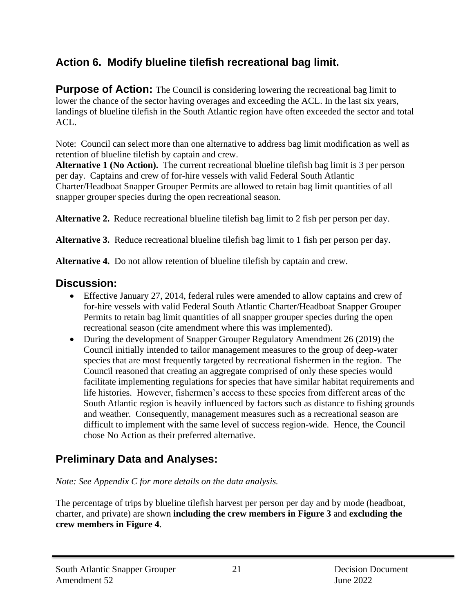## **Action 6. Modify blueline tilefish recreational bag limit.**

**Purpose of Action:** The Council is considering lowering the recreational bag limit to lower the chance of the sector having overages and exceeding the ACL. In the last six years, landings of blueline tilefish in the South Atlantic region have often exceeded the sector and total  $ACL$ .

Note: Council can select more than one alternative to address bag limit modification as well as retention of blueline tilefish by captain and crew.

Alternative 1 (No Action). The current recreational blueline tilefish bag limit is 3 per person per day. Captains and crew of for-hire vessels with valid Federal South Atlantic Charter/Headboat Snapper Grouper Permits are allowed to retain bag limit quantities of all snapper grouper species during the open recreational season.

**Alternative 2.** Reduce recreational blueline tilefish bag limit to 2 fish per person per day.

**Alternative 3.** Reduce recreational blueline tilefish bag limit to 1 fish per person per day.

**Alternative 4.** Do not allow retention of blueline tilefish by captain and crew.

#### **Discussion:**

- Effective January 27, 2014, federal rules were amended to allow captains and crew of for-hire vessels with valid Federal South Atlantic Charter/Headboat Snapper Grouper Permits to retain bag limit quantities of all snapper grouper species during the open recreational season (cite amendment where this was implemented).
- During the development of Snapper Grouper Regulatory Amendment 26 (2019) the Council initially intended to tailor management measures to the group of deep-water species that are most frequently targeted by recreational fishermen in the region. The Council reasoned that creating an aggregate comprised of only these species would facilitate implementing regulations for species that have similar habitat requirements and life histories. However, fishermen's access to these species from different areas of the South Atlantic region is heavily influenced by factors such as distance to fishing grounds and weather. Consequently, management measures such as a recreational season are difficult to implement with the same level of success region-wide. Hence, the Council chose No Action as their preferred alternative.

## **Preliminary Data and Analyses:**

*Note: See Appendix C for more details on the data analysis.* 

The percentage of trips by blueline tilefish harvest per person per day and by mode (headboat, charter, and private) are shown **including the crew members in Figure 3** and **excluding the crew members in Figure 4**.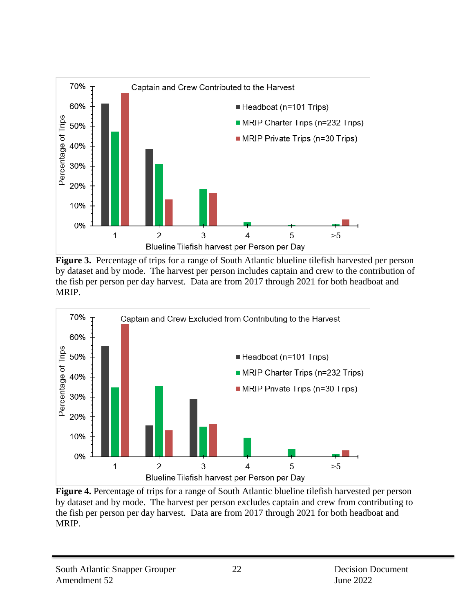

**Figure 3.** Percentage of trips for a range of South Atlantic blueline tilefish harvested per person by dataset and by mode. The harvest per person includes captain and crew to the contribution of the fish per person per day harvest. Data are from 2017 through 2021 for both headboat and MRIP.



**Figure 4.** Percentage of trips for a range of South Atlantic blueline tilefish harvested per person by dataset and by mode. The harvest per person excludes captain and crew from contributing to the fish per person per day harvest. Data are from 2017 through 2021 for both headboat and MRIP.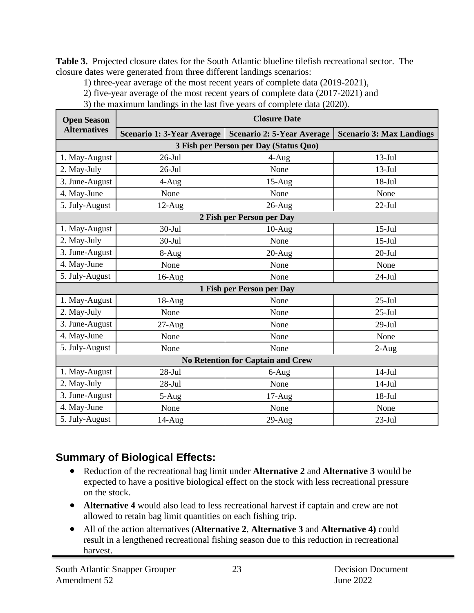**Table 3.** Projected closure dates for the South Atlantic blueline tilefish recreational sector. The closure dates were generated from three different landings scenarios:

1) three-year average of the most recent years of complete data (2019-2021),

2) five-year average of the most recent years of complete data (2017-2021) and

3) the maximum landings in the last five years of complete data (2020).

| <b>Open Season</b>                     | <b>Closure Date</b>        |                                          |                                 |  |  |  |
|----------------------------------------|----------------------------|------------------------------------------|---------------------------------|--|--|--|
| <b>Alternatives</b>                    | Scenario 1: 3-Year Average | <b>Scenario 2: 5-Year Average</b>        | <b>Scenario 3: Max Landings</b> |  |  |  |
| 3 Fish per Person per Day (Status Quo) |                            |                                          |                                 |  |  |  |
| 1. May-August                          | $26$ -Jul                  | $4-Aug$                                  | $13-Jul$                        |  |  |  |
| 2. May-July                            | $26$ -Jul                  | None                                     | $13-Jul$                        |  |  |  |
| 3. June-August                         | $4-Aug$                    | $15-Aug$                                 | $18 -$ Jul                      |  |  |  |
| 4. May-June                            | None                       | None                                     | None                            |  |  |  |
| 5. July-August                         | $12-Aug$                   | $26$ -Aug                                | $22-Jul$                        |  |  |  |
|                                        |                            | 2 Fish per Person per Day                |                                 |  |  |  |
| 1. May-August                          | $30 -$ Jul                 | $10-Aug$                                 | $15$ -Jul                       |  |  |  |
| 2. May-July                            | $30 -$ Jul                 | None                                     | $15-Jul$                        |  |  |  |
| 3. June-August<br>8-Aug                |                            | $20-Aug$                                 | $20-Jul$                        |  |  |  |
| 4. May-June<br>None                    |                            | None                                     | None                            |  |  |  |
| 5. July-August                         | $16$ -Aug                  | None                                     | $24-Jul$                        |  |  |  |
|                                        |                            | 1 Fish per Person per Day                |                                 |  |  |  |
| 1. May-August                          | $18-Aug$                   | None                                     | $25-Jul$                        |  |  |  |
| 2. May-July                            | None                       | None                                     | $25 -$ Jul                      |  |  |  |
| 3. June-August                         | $27-Aug$                   | None                                     | $29-Jul$                        |  |  |  |
| 4. May-June                            | None                       | None                                     | None                            |  |  |  |
| 5. July-August                         | None                       | None                                     | $2-Aug$                         |  |  |  |
|                                        |                            | <b>No Retention for Captain and Crew</b> |                                 |  |  |  |
| 1. May-August                          | $28-Jul$                   | 6-Aug                                    | $14-Jul$                        |  |  |  |
| 2. May-July                            | $28-Jul$                   | None                                     | $14-Jul$                        |  |  |  |
| 3. June-August                         | 5-Aug                      | $17-Aug$                                 | $18 -$ Jul                      |  |  |  |
| 4. May-June                            | None                       | None                                     | None                            |  |  |  |
| 5. July-August                         | 14-Aug                     | $29-Aug$                                 | $23-Jul$                        |  |  |  |

## **Summary of Biological Effects:**

- Reduction of the recreational bag limit under **Alternative 2** and **Alternative 3** would be expected to have a positive biological effect on the stock with less recreational pressure on the stock.
- **Alternative 4** would also lead to less recreational harvest if captain and crew are not allowed to retain bag limit quantities on each fishing trip.
- All of the action alternatives (**Alternative 2**, **Alternative 3** and **Alternative 4)** could result in a lengthened recreational fishing season due to this reduction in recreational harvest.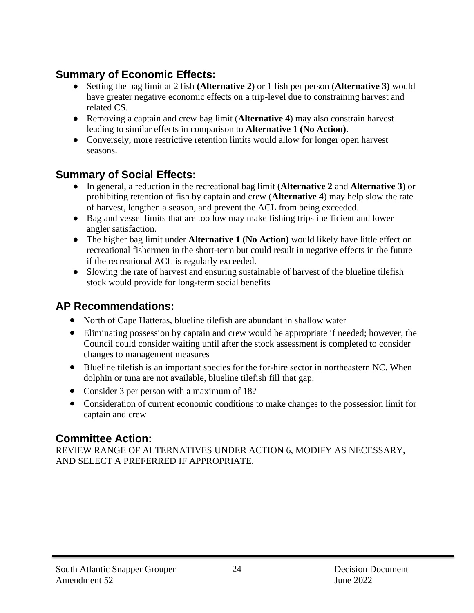## **Summary of Economic Effects:**

- Setting the bag limit at 2 fish **(Alternative 2)** or 1 fish per person (**Alternative 3)** would have greater negative economic effects on a trip-level due to constraining harvest and related CS.
- Removing a captain and crew bag limit (**Alternative 4**) may also constrain harvest leading to similar effects in comparison to **Alternative 1 (No Action)**.
- Conversely, more restrictive retention limits would allow for longer open harvest seasons.

### **Summary of Social Effects:**

- In general, a reduction in the recreational bag limit (**Alternative 2** and **Alternative 3**) or prohibiting retention of fish by captain and crew (**Alternative 4**) may help slow the rate of harvest, lengthen a season, and prevent the ACL from being exceeded.
- Bag and vessel limits that are too low may make fishing trips inefficient and lower angler satisfaction.
- The higher bag limit under **Alternative 1 (No Action)** would likely have little effect on recreational fishermen in the short-term but could result in negative effects in the future if the recreational ACL is regularly exceeded.
- Slowing the rate of harvest and ensuring sustainable of harvest of the blueline tilefish stock would provide for long-term social benefits

## **AP Recommendations:**

- North of Cape Hatteras, blueline tilefish are abundant in shallow water
- Eliminating possession by captain and crew would be appropriate if needed; however, the Council could consider waiting until after the stock assessment is completed to consider changes to management measures
- Blueline tilefish is an important species for the for-hire sector in northeastern NC. When dolphin or tuna are not available, blueline tilefish fill that gap.
- Consider 3 per person with a maximum of 18?
- Consideration of current economic conditions to make changes to the possession limit for captain and crew

### **Committee Action:**

REVIEW RANGE OF ALTERNATIVES UNDER ACTION 6, MODIFY AS NECESSARY, AND SELECT A PREFERRED IF APPROPRIATE.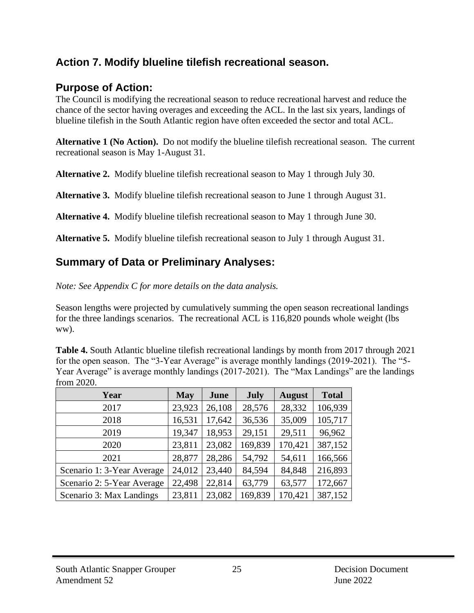#### **Action 7. Modify blueline tilefish recreational season.**

#### **Purpose of Action:**

The Council is modifying the recreational season to reduce recreational harvest and reduce the chance of the sector having overages and exceeding the ACL. In the last six years, landings of blueline tilefish in the South Atlantic region have often exceeded the sector and total ACL.

**Alternative 1 (No Action).** Do not modify the blueline tilefish recreational season. The current recreational season is May 1-August 31.

**Alternative 2.** Modify blueline tilefish recreational season to May 1 through July 30.

**Alternative 3.** Modify blueline tilefish recreational season to June 1 through August 31.

**Alternative 4.** Modify blueline tilefish recreational season to May 1 through June 30.

**Alternative 5.** Modify blueline tilefish recreational season to July 1 through August 31.

### **Summary of Data or Preliminary Analyses:**

*Note: See Appendix C for more details on the data analysis.* 

Season lengths were projected by cumulatively summing the open season recreational landings for the three landings scenarios. The recreational ACL is 116,820 pounds whole weight (lbs ww).

**Table 4.** South Atlantic blueline tilefish recreational landings by month from 2017 through 2021 for the open season. The "3-Year Average" is average monthly landings (2019-2021). The "5-Year Average" is average monthly landings (2017-2021). The "Max Landings" are the landings from 2020.

| Year                       | <b>May</b> | June   | July    | <b>August</b> | <b>Total</b> |
|----------------------------|------------|--------|---------|---------------|--------------|
| 2017                       | 23,923     | 26,108 | 28,576  | 28,332        | 106,939      |
| 2018                       | 16,531     | 17,642 | 36,536  | 35,009        | 105,717      |
| 2019                       | 19,347     | 18,953 | 29,151  | 29,511        | 96,962       |
| 2020                       | 23,811     | 23,082 | 169,839 | 170,421       | 387,152      |
| 2021                       | 28,877     | 28,286 | 54,792  | 54,611        | 166,566      |
| Scenario 1: 3-Year Average | 24,012     | 23,440 | 84,594  | 84,848        | 216,893      |
| Scenario 2: 5-Year Average | 22,498     | 22,814 | 63,779  | 63,577        | 172,667      |
| Scenario 3: Max Landings   | 23,811     | 23,082 | 169,839 | 170,421       | 387,152      |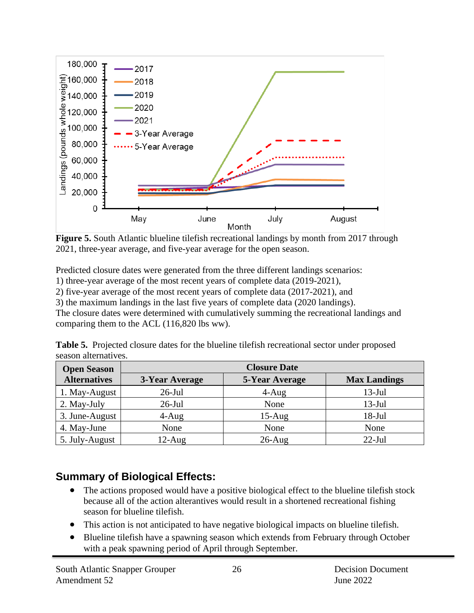

**Figure 5.** South Atlantic blueline tilefish recreational landings by month from 2017 through 2021, three-year average, and five-year average for the open season.

Predicted closure dates were generated from the three different landings scenarios:

1) three-year average of the most recent years of complete data (2019-2021),

2) five-year average of the most recent years of complete data (2017-2021), and

3) the maximum landings in the last five years of complete data (2020 landings).

The closure dates were determined with cumulatively summing the recreational landings and comparing them to the ACL (116,820 lbs ww).

| <b>Table 5.</b> Projected closure dates for the blueline tilefish recreational sector under proposed |  |  |
|------------------------------------------------------------------------------------------------------|--|--|
| season alternatives.                                                                                 |  |  |

| <b>Open Season</b>  | <b>Closure Date</b> |                |                     |  |  |  |
|---------------------|---------------------|----------------|---------------------|--|--|--|
| <b>Alternatives</b> | 3-Year Average      | 5-Year Average | <b>Max Landings</b> |  |  |  |
| 1. May-August       | $26$ -Jul           | $4 - Aug$      | $13-Jul$            |  |  |  |
| 2. May-July         | $26$ -Jul           | None           | $13-Jul$            |  |  |  |
| 3. June-August      | $4 - Aug$           | $15-Aug$       | $18 - Jul$          |  |  |  |
| 4. May-June         | None                | None           | None                |  |  |  |
| 5. July-August      | $12$ -Aug           | $26$ -Aug      | $22$ -Jul           |  |  |  |

## **Summary of Biological Effects:**

- The actions proposed would have a positive biological effect to the blueline tilefish stock because all of the action alterantives would result in a shortened recreational fishing season for blueline tilefish.
- This action is not anticipated to have negative biological impacts on blueline tilefish.
- Blueline tilefish have a spawning season which extends from February through October with a peak spawning period of April through September.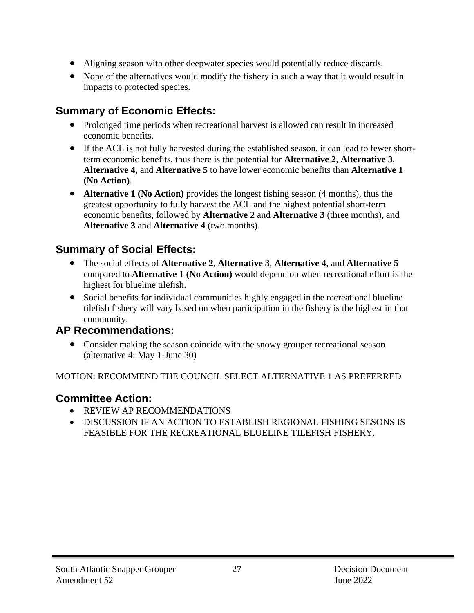- Aligning season with other deepwater species would potentially reduce discards.
- None of the alternatives would modify the fishery in such a way that it would result in impacts to protected species.

## **Summary of Economic Effects:**

- Prolonged time periods when recreational harvest is allowed can result in increased economic benefits.
- If the ACL is not fully harvested during the established season, it can lead to fewer shortterm economic benefits, thus there is the potential for **Alternative 2**, **Alternative 3**, **Alternative 4,** and **Alternative 5** to have lower economic benefits than **Alternative 1 (No Action)**.
- **Alternative 1 (No Action)** provides the longest fishing season (4 months), thus the greatest opportunity to fully harvest the ACL and the highest potential short-term economic benefits, followed by **Alternative 2** and **Alternative 3** (three months), and **Alternative 3** and **Alternative 4** (two months).

## **Summary of Social Effects:**

- The social effects of **Alternative 2**, **Alternative 3**, **Alternative 4**, and **Alternative 5**  compared to **Alternative 1 (No Action)** would depend on when recreational effort is the highest for blueline tilefish.
- Social benefits for individual communities highly engaged in the recreational blueline tilefish fishery will vary based on when participation in the fishery is the highest in that community.

#### **AP Recommendations:**

• Consider making the season coincide with the snowy grouper recreational season (alternative 4: May 1-June 30)

#### MOTION: RECOMMEND THE COUNCIL SELECT ALTERNATIVE 1 AS PREFERRED

#### **Committee Action:**

- REVIEW AP RECOMMENDATIONS
- DISCUSSION IF AN ACTION TO ESTABLISH REGIONAL FISHING SESONS IS FEASIBLE FOR THE RECREATIONAL BLUELINE TILEFISH FISHERY.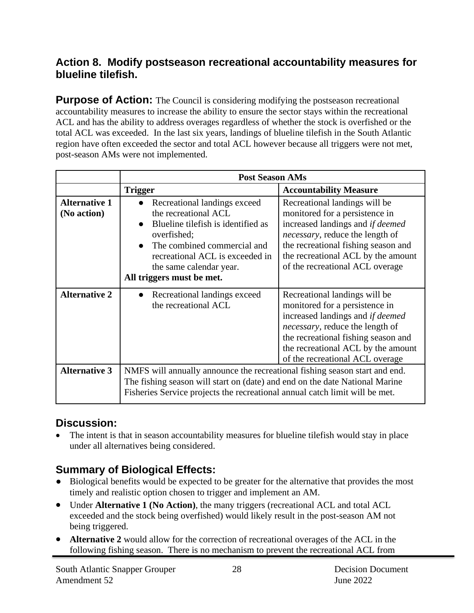#### **Action 8. Modify postseason recreational accountability measures for blueline tilefish.**

**Purpose of Action:** The Council is considering modifying the postseason recreational accountability measures to increase the ability to ensure the sector stays within the recreational ACL and has the ability to address overages regardless of whether the stock is overfished or the total ACL was exceeded. In the last six years, landings of blueline tilefish in the South Atlantic region have often exceeded the sector and total ACL however because all triggers were not met, post-season AMs were not implemented.

|                                     | <b>Post Season AMs</b>                                                                                                                                                                                                                   |                                                                                                                                                                                                                                                                |  |
|-------------------------------------|------------------------------------------------------------------------------------------------------------------------------------------------------------------------------------------------------------------------------------------|----------------------------------------------------------------------------------------------------------------------------------------------------------------------------------------------------------------------------------------------------------------|--|
|                                     | <b>Trigger</b>                                                                                                                                                                                                                           | <b>Accountability Measure</b>                                                                                                                                                                                                                                  |  |
| <b>Alternative 1</b><br>(No action) | Recreational landings exceed<br>the recreational ACL<br>Blueline tilefish is identified as<br>overfished;<br>The combined commercial and<br>recreational ACL is exceeded in<br>the same calendar year.<br>All triggers must be met.      | Recreational landings will be<br>monitored for a persistence in<br>increased landings and if deemed<br><i>necessary</i> , reduce the length of<br>the recreational fishing season and<br>the recreational ACL by the amount<br>of the recreational ACL overage |  |
| <b>Alternative 2</b>                | Recreational landings exceed<br>the recreational ACL                                                                                                                                                                                     | Recreational landings will be<br>monitored for a persistence in<br>increased landings and <i>if deemed</i><br>necessary, reduce the length of<br>the recreational fishing season and<br>the recreational ACL by the amount<br>of the recreational ACL overage  |  |
| <b>Alternative 3</b>                | NMFS will annually announce the recreational fishing season start and end.<br>The fishing season will start on (date) and end on the date National Marine<br>Fisheries Service projects the recreational annual catch limit will be met. |                                                                                                                                                                                                                                                                |  |

#### **Discussion:**

The intent is that in season accountability measures for blueline tilefish would stay in place under all alternatives being considered.

### **Summary of Biological Effects:**

- Biological benefits would be expected to be greater for the alternative that provides the most timely and realistic option chosen to trigger and implement an AM.
- Under **Alternative 1 (No Action)**, the many triggers (recreational ACL and total ACL exceeded and the stock being overfished) would likely result in the post-season AM not being triggered.
- **Alternative 2** would allow for the correction of recreational overages of the ACL in the following fishing season. There is no mechanism to prevent the recreational ACL from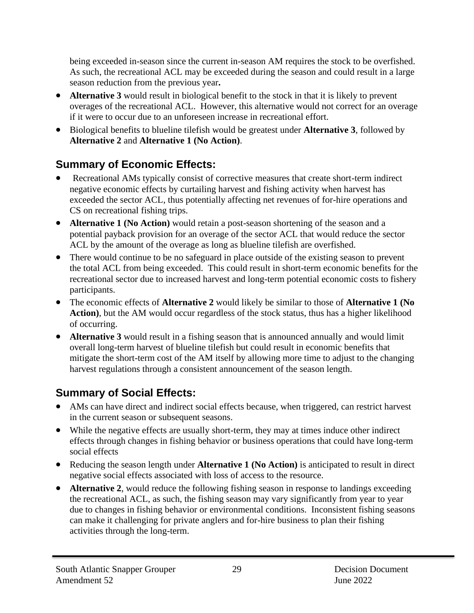being exceeded in-season since the current in-season AM requires the stock to be overfished. As such, the recreational ACL may be exceeded during the season and could result in a large season reduction from the previous year**.**

- **Alternative 3** would result in biological benefit to the stock in that it is likely to prevent overages of the recreational ACL. However, this alternative would not correct for an overage if it were to occur due to an unforeseen increase in recreational effort.
- Biological benefits to blueline tilefish would be greatest under **Alternative 3**, followed by **Alternative 2** and **Alternative 1 (No Action)**.

## **Summary of Economic Effects:**

- Recreational AMs typically consist of corrective measures that create short-term indirect negative economic effects by curtailing harvest and fishing activity when harvest has exceeded the sector ACL, thus potentially affecting net revenues of for-hire operations and CS on recreational fishing trips.
- **Alternative 1 (No Action)** would retain a post-season shortening of the season and a potential payback provision for an overage of the sector ACL that would reduce the sector ACL by the amount of the overage as long as blueline tilefish are overfished.
- There would continue to be no safeguard in place outside of the existing season to prevent the total ACL from being exceeded. This could result in short-term economic benefits for the recreational sector due to increased harvest and long-term potential economic costs to fishery participants.
- The economic effects of **Alternative 2** would likely be similar to those of **Alternative 1 (No**  Action), but the AM would occur regardless of the stock status, thus has a higher likelihood of occurring.
- **Alternative 3** would result in a fishing season that is announced annually and would limit overall long-term harvest of blueline tilefish but could result in economic benefits that mitigate the short-term cost of the AM itself by allowing more time to adjust to the changing harvest regulations through a consistent announcement of the season length.

## **Summary of Social Effects:**

- AMs can have direct and indirect social effects because, when triggered, can restrict harvest in the current season or subsequent seasons.
- While the negative effects are usually short-term, they may at times induce other indirect effects through changes in fishing behavior or business operations that could have long-term social effects
- Reducing the season length under **Alternative 1 (No Action)** is anticipated to result in direct negative social effects associated with loss of access to the resource.
- **Alternative 2**, would reduce the following fishing season in response to landings exceeding the recreational ACL, as such, the fishing season may vary significantly from year to year due to changes in fishing behavior or environmental conditions. Inconsistent fishing seasons can make it challenging for private anglers and for-hire business to plan their fishing activities through the long-term.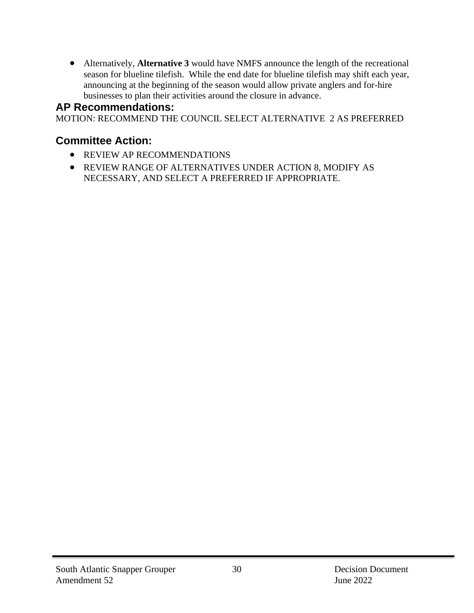• Alternatively, **Alternative 3** would have NMFS announce the length of the recreational season for blueline tilefish. While the end date for blueline tilefish may shift each year, announcing at the beginning of the season would allow private anglers and for-hire businesses to plan their activities around the closure in advance.

#### **AP Recommendations:**

MOTION: RECOMMEND THE COUNCIL SELECT ALTERNATIVE 2 AS PREFERRED

#### **Committee Action:**

- REVIEW AP RECOMMENDATIONS
- REVIEW RANGE OF ALTERNATIVES UNDER ACTION 8, MODIFY AS NECESSARY, AND SELECT A PREFERRED IF APPROPRIATE.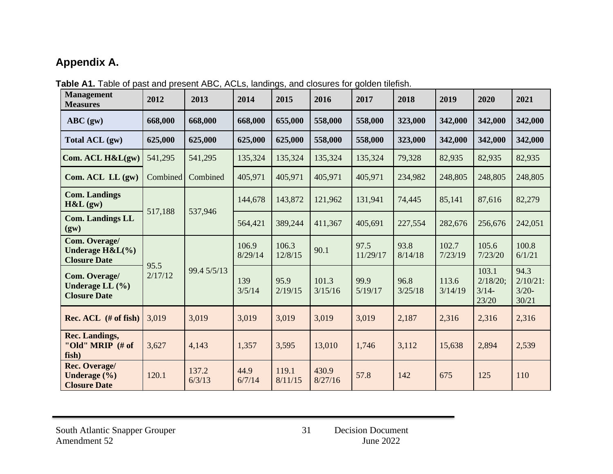## **Appendix A.**

| <b>Management</b><br><b>Measures</b>                        | 2012            | 2013            | 2014           | 2015             | 2016             | 2017             | 2018            | 2019             | 2020                                  | 2021                                    |                  |                 |
|-------------------------------------------------------------|-----------------|-----------------|----------------|------------------|------------------|------------------|-----------------|------------------|---------------------------------------|-----------------------------------------|------------------|-----------------|
| $ABC$ (gw)                                                  | 668,000         | 668,000         | 668,000        | 655,000          | 558,000          | 558,000          | 323,000         | 342,000          | 342,000                               | 342,000                                 |                  |                 |
| Total ACL (gw)                                              | 625,000         | 625,000         | 625,000        | 625,000          | 558,000          | 558,000          | 323,000         | 342,000          | 342,000                               | 342,000                                 |                  |                 |
| Com. ACL H&L(gw)                                            | 541,295         | 541,295         | 135,324        | 135,324          | 135,324          | 135,324          | 79,328          | 82,935           | 82,935                                | 82,935                                  |                  |                 |
| Com. ACL LL (gw)                                            | Combined        | Combined        | 405,971        | 405,971          | 405,971          | 405,971          | 234,982         | 248,805          | 248,805                               | 248,805                                 |                  |                 |
| <b>Com. Landings</b><br>H&L(gw)                             | 517,188         | 537,946         | 144,678        | 143,872          | 121,962          | 131,941          | 74,445          | 85,141           | 87,616                                | 82,279                                  |                  |                 |
| <b>Com. Landings LL</b><br>(gw)                             |                 |                 | 564,421        | 389,244          | 411,367          | 405,691          | 227,554         | 282,676          | 256,676                               | 242,051                                 |                  |                 |
| Com. Overage/<br>Underage $H&L(\%)$<br><b>Closure Date</b>  | 95.5<br>2/17/12 |                 |                |                  | 106.9<br>8/29/14 | 106.3<br>12/8/15 | 90.1            | 97.5<br>11/29/17 | 93.8<br>8/14/18                       | 102.7<br>7/23/19                        | 105.6<br>7/23/20 | 100.8<br>6/1/21 |
| Com. Overage/<br>Underage LL $(\% )$<br><b>Closure Date</b> |                 | 99.4 5/5/13     | 139<br>3/5/14  | 95.9<br>2/19/15  | 101.3<br>3/15/16 | 99.9<br>5/19/17  | 96.8<br>3/25/18 | 113.6<br>3/14/19 | 103.1<br>2/18/20;<br>$3/14-$<br>23/20 | 94.3<br>$2/10/21$ :<br>$3/20-$<br>30/21 |                  |                 |
| Rec. ACL (# of fish)                                        | 3,019           | 3,019           | 3,019          | 3,019            | 3,019            | 3,019            | 2,187           | 2,316            | 2,316                                 | 2,316                                   |                  |                 |
| <b>Rec. Landings,</b><br>"Old" MRIP (# of<br>fish)          | 3,627           | 4,143           | 1,357          | 3,595            | 13,010           | 1,746            | 3,112           | 15,638           | 2,894                                 | 2,539                                   |                  |                 |
| Rec. Overage/<br>Underage $(\% )$<br><b>Closure Date</b>    | 120.1           | 137.2<br>6/3/13 | 44.9<br>6/7/14 | 119.1<br>8/11/15 | 430.9<br>8/27/16 | 57.8             | 142             | 675              | 125                                   | 110                                     |                  |                 |

Table A1. Table of past and present ABC, ACLs, landings, and closures for golden tilefish.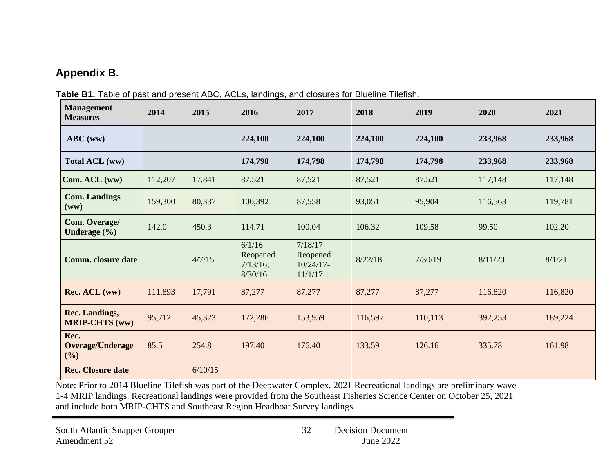## **Appendix B.**

| Table B1. Table of past and present ABC, ACLs, landings, and closures for Blueline Tilefish. |  |  |
|----------------------------------------------------------------------------------------------|--|--|
|                                                                                              |  |  |

| <b>Management</b><br><b>Measures</b>             | 2014    | 2015    | 2016                                      | 2017                                           | 2018    | 2019    | 2020    | 2021    |
|--------------------------------------------------|---------|---------|-------------------------------------------|------------------------------------------------|---------|---------|---------|---------|
| $ABC$ (ww)                                       |         |         | 224,100                                   | 224,100                                        | 224,100 | 224,100 | 233,968 | 233,968 |
| Total ACL (ww)                                   |         |         | 174,798                                   | 174,798                                        | 174,798 | 174,798 | 233,968 | 233,968 |
| $\text{Com. } ACL$ (ww)                          | 112,207 | 17,841  | 87,521                                    | 87,521                                         | 87,521  | 87,521  | 117,148 | 117,148 |
| <b>Com. Landings</b><br>$(\mathbf{w}\mathbf{w})$ | 159,300 | 80,337  | 100,392                                   | 87,558                                         | 93,051  | 95,904  | 116,563 | 119,781 |
| Com. Overage/<br>Underage $(\% )$                | 142.0   | 450.3   | 114.71                                    | 100.04                                         | 106.32  | 109.58  | 99.50   | 102.20  |
| <b>Comm.</b> closure date                        |         | 4/7/15  | 6/1/16<br>Reopened<br>7/13/16;<br>8/30/16 | 7/18/17<br>Reopened<br>$10/24/17$ -<br>11/1/17 | 8/22/18 | 7/30/19 | 8/11/20 | 8/1/21  |
| Rec. ACL (ww)                                    | 111,893 | 17,791  | 87,277                                    | 87,277                                         | 87,277  | 87,277  | 116,820 | 116,820 |
| <b>Rec. Landings,</b><br><b>MRIP-CHTS (ww)</b>   | 95,712  | 45,323  | 172,286                                   | 153,959                                        | 116,597 | 110,113 | 392,253 | 189,224 |
| Rec.<br><b>Overage/Underage</b><br>(%)           | 85.5    | 254.8   | 197.40                                    | 176.40                                         | 133.59  | 126.16  | 335.78  | 161.98  |
| <b>Rec. Closure date</b>                         |         | 6/10/15 |                                           |                                                |         |         |         |         |

Note: Prior to 2014 Blueline Tilefish was part of the Deepwater Complex. 2021 Recreational landings are preliminary wave 1-4 MRIP landings. Recreational landings were provided from the Southeast Fisheries Science Center on October 25, 2021 and include both MRIP-CHTS and Southeast Region Headboat Survey landings.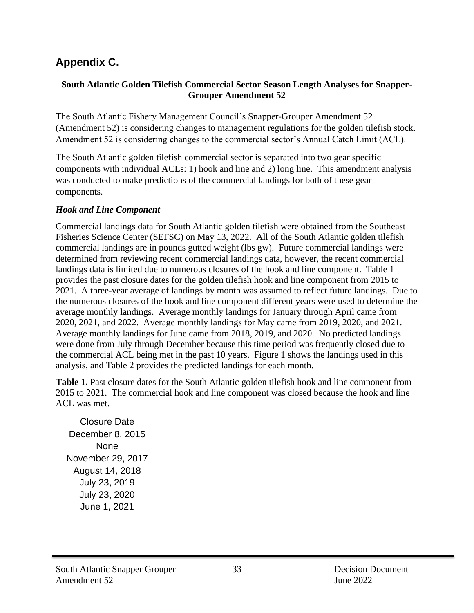## **Appendix C.**

#### **South Atlantic Golden Tilefish Commercial Sector Season Length Analyses for Snapper-Grouper Amendment 52**

The South Atlantic Fishery Management Council's Snapper-Grouper Amendment 52 (Amendment 52) is considering changes to management regulations for the golden tilefish stock. Amendment 52 is considering changes to the commercial sector's Annual Catch Limit (ACL).

The South Atlantic golden tilefish commercial sector is separated into two gear specific components with individual ACLs: 1) hook and line and 2) long line. This amendment analysis was conducted to make predictions of the commercial landings for both of these gear components.

#### *Hook and Line Component*

Commercial landings data for South Atlantic golden tilefish were obtained from the Southeast Fisheries Science Center (SEFSC) on May 13, 2022. All of the South Atlantic golden tilefish commercial landings are in pounds gutted weight (lbs gw). Future commercial landings were determined from reviewing recent commercial landings data, however, the recent commercial landings data is limited due to numerous closures of the hook and line component. Table 1 provides the past closure dates for the golden tilefish hook and line component from 2015 to 2021. A three-year average of landings by month was assumed to reflect future landings. Due to the numerous closures of the hook and line component different years were used to determine the average monthly landings. Average monthly landings for January through April came from 2020, 2021, and 2022. Average monthly landings for May came from 2019, 2020, and 2021. Average monthly landings for June came from 2018, 2019, and 2020. No predicted landings were done from July through December because this time period was frequently closed due to the commercial ACL being met in the past 10 years. Figure 1 shows the landings used in this analysis, and Table 2 provides the predicted landings for each month.

**Table 1.** Past closure dates for the South Atlantic golden tilefish hook and line component from 2015 to 2021. The commercial hook and line component was closed because the hook and line ACL was met.

Closure Date December 8, 2015 **None** November 29, 2017 August 14, 2018 July 23, 2019 July 23, 2020 June 1, 2021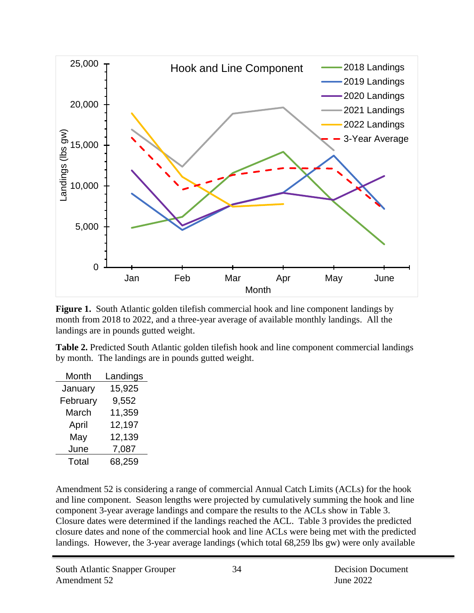

**Figure 1.** South Atlantic golden tilefish commercial hook and line component landings by month from 2018 to 2022, and a three-year average of available monthly landings. All the landings are in pounds gutted weight.

**Table 2.** Predicted South Atlantic golden tilefish hook and line component commercial landings by month. The landings are in pounds gutted weight.

| Month    | Landings |
|----------|----------|
| January  | 15,925   |
| February | 9,552    |
| March    | 11,359   |
| April    | 12,197   |
| May      | 12,139   |
| June     | 7,087    |
| Total    | 68,259   |

Amendment 52 is considering a range of commercial Annual Catch Limits (ACLs) for the hook and line component. Season lengths were projected by cumulatively summing the hook and line component 3-year average landings and compare the results to the ACLs show in Table 3. Closure dates were determined if the landings reached the ACL. Table 3 provides the predicted closure dates and none of the commercial hook and line ACLs were being met with the predicted landings. However, the 3-year average landings (which total 68,259 lbs gw) were only available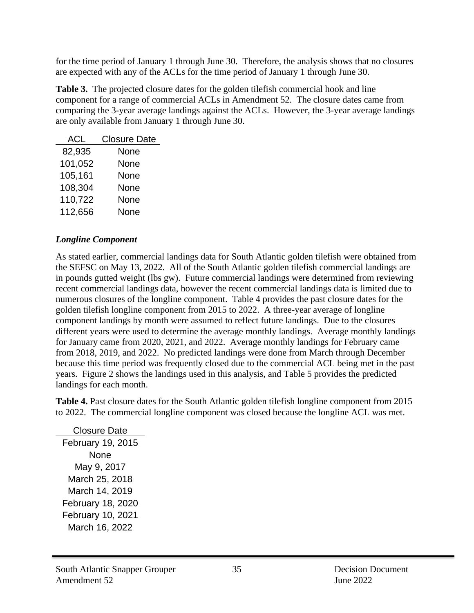for the time period of January 1 through June 30. Therefore, the analysis shows that no closures are expected with any of the ACLs for the time period of January 1 through June 30.

**Table 3.** The projected closure dates for the golden tilefish commercial hook and line component for a range of commercial ACLs in Amendment 52. The closure dates came from comparing the 3-year average landings against the ACLs. However, the 3-year average landings are only available from January 1 through June 30.

| ACL     | <b>Closure Date</b> |
|---------|---------------------|
| 82,935  | None                |
| 101,052 | None                |
| 105,161 | None                |
| 108,304 | None                |
| 110,722 | None                |
| 112,656 | None                |

#### *Longline Component*

As stated earlier, commercial landings data for South Atlantic golden tilefish were obtained from the SEFSC on May 13, 2022. All of the South Atlantic golden tilefish commercial landings are in pounds gutted weight (lbs gw). Future commercial landings were determined from reviewing recent commercial landings data, however the recent commercial landings data is limited due to numerous closures of the longline component. Table 4 provides the past closure dates for the golden tilefish longline component from 2015 to 2022. A three-year average of longline component landings by month were assumed to reflect future landings. Due to the closures different years were used to determine the average monthly landings. Average monthly landings for January came from 2020, 2021, and 2022. Average monthly landings for February came from 2018, 2019, and 2022. No predicted landings were done from March through December because this time period was frequently closed due to the commercial ACL being met in the past years. Figure 2 shows the landings used in this analysis, and Table 5 provides the predicted landings for each month.

**Table 4.** Past closure dates for the South Atlantic golden tilefish longline component from 2015 to 2022. The commercial longline component was closed because the longline ACL was met.

Closure Date February 19, 2015 None May 9, 2017 March 25, 2018 March 14, 2019 February 18, 2020 February 10, 2021 March 16, 2022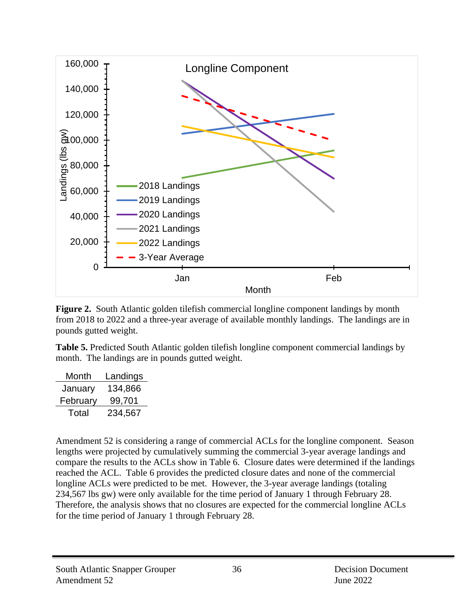

**Figure 2.** South Atlantic golden tilefish commercial longline component landings by month from 2018 to 2022 and a three-year average of available monthly landings. The landings are in pounds gutted weight.

**Table 5.** Predicted South Atlantic golden tilefish longline component commercial landings by month. The landings are in pounds gutted weight.

| Month    | Landings |
|----------|----------|
| January  | 134,866  |
| February | 99,701   |
| Total    | 234,567  |

Amendment 52 is considering a range of commercial ACLs for the longline component. Season lengths were projected by cumulatively summing the commercial 3-year average landings and compare the results to the ACLs show in Table 6. Closure dates were determined if the landings reached the ACL. Table 6 provides the predicted closure dates and none of the commercial longline ACLs were predicted to be met. However, the 3-year average landings (totaling 234,567 lbs gw) were only available for the time period of January 1 through February 28. Therefore, the analysis shows that no closures are expected for the commercial longline ACLs for the time period of January 1 through February 28.